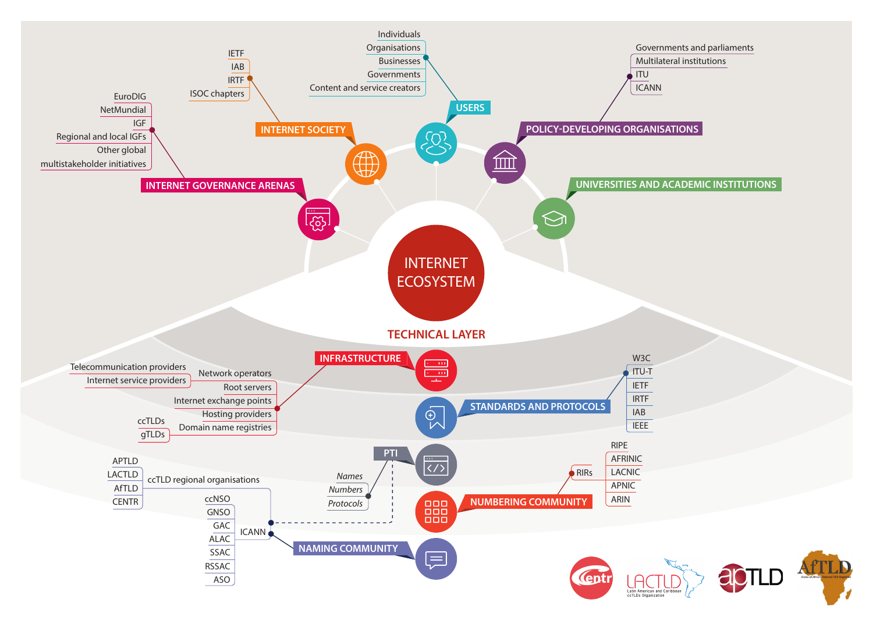